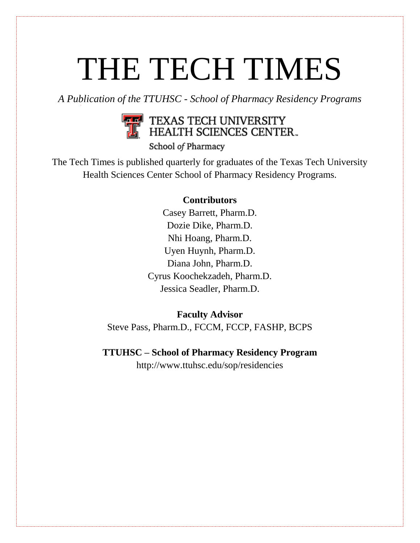# THE TECH TIMES

*A Publication of the TTUHSC - School of Pharmacy Residency Programs* 



School of Pharmacy

The Tech Times is published quarterly for graduates of the Texas Tech University Health Sciences Center School of Pharmacy Residency Programs.

# **Contributors**

Casey Barrett, Pharm.D. Dozie Dike, Pharm.D. Nhi Hoang, Pharm.D. Uyen Huynh, Pharm.D. Diana John, Pharm.D. Cyrus Koochekzadeh, Pharm.D. Jessica Seadler, Pharm.D.

# **Faculty Advisor**

Steve Pass, Pharm.D., FCCM, FCCP, FASHP, BCPS

**TTUHSC – School of Pharmacy Residency Program**

http://www.ttuhsc.edu/sop/residencies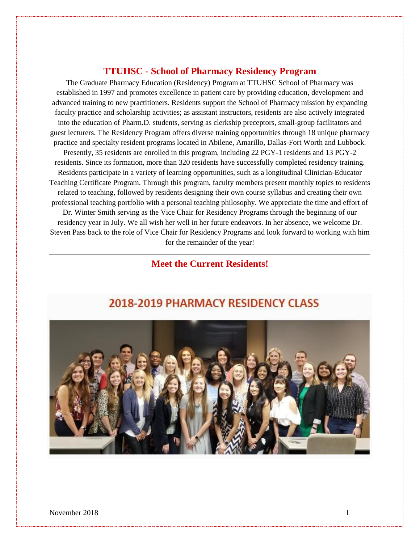# **TTUHSC - School of Pharmacy Residency Program**

The Graduate Pharmacy Education (Residency) Program at TTUHSC School of Pharmacy was established in 1997 and promotes excellence in patient care by providing education, development and advanced training to new practitioners. Residents support the School of Pharmacy mission by expanding faculty practice and scholarship activities; as assistant instructors, residents are also actively integrated into the education of Pharm.D. students, serving as clerkship preceptors, small-group facilitators and guest lecturers. The Residency Program offers diverse training opportunities through 18 unique pharmacy practice and specialty resident programs located in Abilene, Amarillo, Dallas-Fort Worth and Lubbock. Presently, 35 residents are enrolled in this program, including 22 PGY-1 residents and 13 PGY-2 residents. Since its formation, more than 320 residents have successfully completed residency training. Residents participate in a variety of learning opportunities, such as a longitudinal Clinician-Educator Teaching Certificate Program. Through this program, faculty members present monthly topics to residents related to teaching, followed by residents designing their own course syllabus and creating their own professional teaching portfolio with a personal teaching philosophy. We appreciate the time and effort of Dr. Winter Smith serving as the Vice Chair for Residency Programs through the beginning of our residency year in July. We all wish her well in her future endeavors. In her absence, we welcome Dr. Steven Pass back to the role of Vice Chair for Residency Programs and look forward to working with him for the remainder of the year!

# **Meet the Current Residents!**



# 2018-2019 PHARMACY RESIDENCY CLASS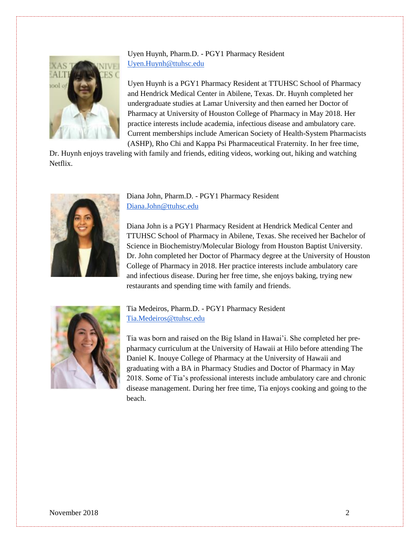

Uyen Huynh, Pharm.D. - PGY1 Pharmacy Resident [Uyen.Huynh@ttuhsc.edu](mailto:Uyen.Huynh@ttuhsc.edu)

Uyen Huynh is a PGY1 Pharmacy Resident at TTUHSC School of Pharmacy and Hendrick Medical Center in Abilene, Texas. Dr. Huynh completed her undergraduate studies at Lamar University and then earned her Doctor of Pharmacy at University of Houston College of Pharmacy in May 2018. Her practice interests include academia, infectious disease and ambulatory care. Current memberships include American Society of Health-System Pharmacists (ASHP), Rho Chi and Kappa Psi Pharmaceutical Fraternity. In her free time,

Dr. Huynh enjoys traveling with family and friends, editing videos, working out, hiking and watching Netflix.



Diana John, Pharm.D. - PGY1 Pharmacy Resident [Diana.John@ttuhsc.edu](mailto:Diana.John@ttuhsc.edu)

Diana John is a PGY1 Pharmacy Resident at Hendrick Medical Center and TTUHSC School of Pharmacy in Abilene, Texas. She received her Bachelor of Science in Biochemistry/Molecular Biology from Houston Baptist University. Dr. John completed her Doctor of Pharmacy degree at the University of Houston College of Pharmacy in 2018. Her practice interests include ambulatory care and infectious disease. During her free time, she enjoys baking, trying new restaurants and spending time with family and friends.



Tia Medeiros, Pharm.D. - PGY1 Pharmacy Resident [Tia.Medeiros@ttuhsc.edu](mailto:Tia.Medeiros@ttuhsc.edu)

Tia was born and raised on the Big Island in Hawai'i. She completed her prepharmacy curriculum at the University of Hawaii at Hilo before attending The Daniel K. Inouye College of Pharmacy at the University of Hawaii and graduating with a BA in Pharmacy Studies and Doctor of Pharmacy in May 2018. Some of Tia's professional interests include ambulatory care and chronic disease management. During her free time, Tia enjoys cooking and going to the beach.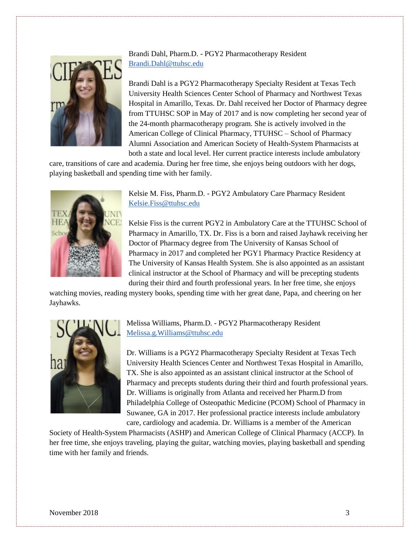

Brandi Dahl, Pharm.D. - PGY2 Pharmacotherapy Resident [Brandi.Dahl@ttuhsc.edu](mailto:Brandi.Dahl@ttuhsc.edu)

Brandi Dahl is a PGY2 Pharmacotherapy Specialty Resident at Texas Tech University Health Sciences Center School of Pharmacy and Northwest Texas Hospital in Amarillo, Texas. Dr. Dahl received her Doctor of Pharmacy degree from TTUHSC SOP in May of 2017 and is now completing her second year of the 24-month pharmacotherapy program. She is actively involved in the American College of Clinical Pharmacy, TTUHSC – School of Pharmacy Alumni Association and American Society of Health-System Pharmacists at both a state and local level. Her current practice interests include ambulatory

care, transitions of care and academia. During her free time, she enjoys being outdoors with her dogs, playing basketball and spending time with her family.



Kelsie M. Fiss, Pharm.D. - PGY2 Ambulatory Care Pharmacy Resident [Kelsie.Fiss@ttuhsc.edu](mailto:Kelsie.Fiss@ttuhsc.edu)

Kelsie Fiss is the current PGY2 in Ambulatory Care at the TTUHSC School of Pharmacy in Amarillo, TX. Dr. Fiss is a born and raised Jayhawk receiving her Doctor of Pharmacy degree from The University of Kansas School of Pharmacy in 2017 and completed her PGY1 Pharmacy Practice Residency at The University of Kansas Health System. She is also appointed as an assistant clinical instructor at the School of Pharmacy and will be precepting students during their third and fourth professional years. In her free time, she enjoys

watching movies, reading mystery books, spending time with her great dane, Papa, and cheering on her Jayhawks.



Melissa Williams, Pharm.D. - PGY2 Pharmacotherapy Resident [Melissa.g.Williams@ttuhsc.edu](mailto:Melissa.g.Williams@ttuhsc.edu)

Dr. Williams is a PGY2 Pharmacotherapy Specialty Resident at Texas Tech University Health Sciences Center and Northwest Texas Hospital in Amarillo, TX. She is also appointed as an assistant clinical instructor at the School of Pharmacy and precepts students during their third and fourth professional years. Dr. Williams is originally from Atlanta and received her Pharm.D from Philadelphia College of Osteopathic Medicine (PCOM) School of Pharmacy in Suwanee, GA in 2017. Her professional practice interests include ambulatory care, cardiology and academia. Dr. Williams is a member of the American

Society of Health-System Pharmacists (ASHP) and American College of Clinical Pharmacy (ACCP). In her free time, she enjoys traveling, playing the guitar, watching movies, playing basketball and spending time with her family and friends.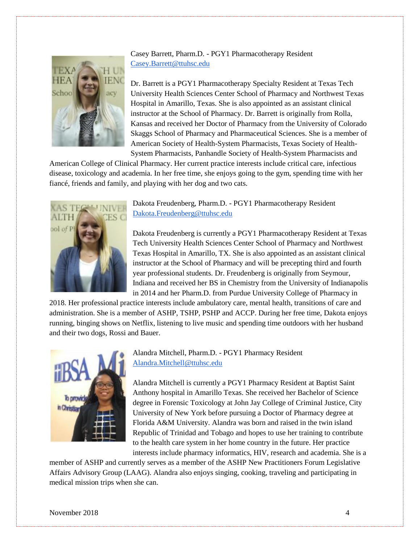

Casey Barrett, Pharm.D. - PGY1 Pharmacotherapy Resident [Casey.Barrett@ttuhsc.edu](mailto:Casey.Barrett@ttuhsc.edu)

Dr. Barrett is a PGY1 Pharmacotherapy Specialty Resident at Texas Tech University Health Sciences Center School of Pharmacy and Northwest Texas Hospital in Amarillo, Texas. She is also appointed as an assistant clinical instructor at the School of Pharmacy. Dr. Barrett is originally from Rolla, Kansas and received her Doctor of Pharmacy from the University of Colorado Skaggs School of Pharmacy and Pharmaceutical Sciences. She is a member of American Society of Health-System Pharmacists, Texas Society of Health-System Pharmacists, Panhandle Society of Health-System Pharmacists and

American College of Clinical Pharmacy. Her current practice interests include critical care, infectious disease, toxicology and academia. In her free time, she enjoys going to the gym, spending time with her fiancé, friends and family, and playing with her dog and two cats.



Dakota Freudenberg, Pharm.D. - PGY1 Pharmacotherapy Resident [Dakota.Freudenberg@ttuhsc.edu](mailto:Dakota.Freudenberg@ttuhsc.edu)

Dakota Freudenberg is currently a PGY1 Pharmacotherapy Resident at Texas Tech University Health Sciences Center School of Pharmacy and Northwest Texas Hospital in Amarillo, TX. She is also appointed as an assistant clinical instructor at the School of Pharmacy and will be precepting third and fourth year professional students. Dr. Freudenberg is originally from Seymour, Indiana and received her BS in Chemistry from the University of Indianapolis in 2014 and her Pharm.D. from Purdue University College of Pharmacy in

2018. Her professional practice interests include ambulatory care, mental health, transitions of care and administration. She is a member of ASHP, TSHP, PSHP and ACCP. During her free time, Dakota enjoys running, binging shows on Netflix, listening to live music and spending time outdoors with her husband and their two dogs, Rossi and Bauer.



Alandra Mitchell, Pharm.D. - PGY1 Pharmacy Resident [Alandra.Mitchell@ttuhsc.edu](mailto:Alandra.Mitchell@ttuhsc.edu)

Alandra Mitchell is currently a PGY1 Pharmacy Resident at Baptist Saint Anthony hospital in Amarillo Texas. She received her Bachelor of Science degree in Forensic Toxicology at John Jay College of Criminal Justice, City University of New York before pursuing a Doctor of Pharmacy degree at Florida A&M University. Alandra was born and raised in the twin island Republic of Trinidad and Tobago and hopes to use her training to contribute to the health care system in her home country in the future. Her practice interests include pharmacy informatics, HIV, research and academia. She is a

member of ASHP and currently serves as a member of the ASHP New Practitioners Forum Legislative Affairs Advisory Group (LAAG). Alandra also enjoys singing, cooking, traveling and participating in medical mission trips when she can.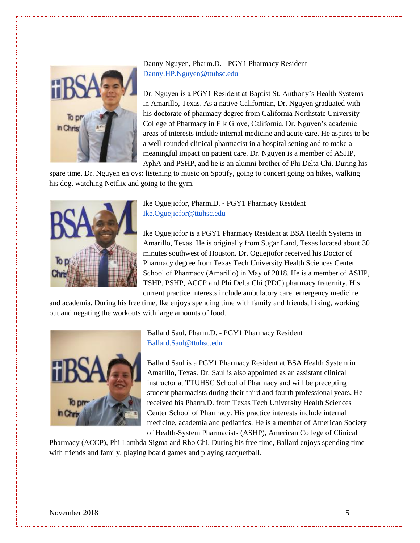

Danny Nguyen, Pharm.D. - PGY1 Pharmacy Resident [Danny.HP.Nguyen@ttuhsc.edu](mailto:Danny.HP.Nguyen@ttuhsc.edu)

Dr. Nguyen is a PGY1 Resident at Baptist St. Anthony's Health Systems in Amarillo, Texas. As a native Californian, Dr. Nguyen graduated with his doctorate of pharmacy degree from California Northstate University College of Pharmacy in Elk Grove, California. Dr. Nguyen's academic areas of interests include internal medicine and acute care. He aspires to be a well-rounded clinical pharmacist in a hospital setting and to make a meaningful impact on patient care. Dr. Nguyen is a member of ASHP, AphA and PSHP, and he is an alumni brother of Phi Delta Chi. During his

spare time, Dr. Nguyen enjoys: listening to music on Spotify, going to concert going on hikes, walking his dog, watching Netflix and going to the gym.



Ike Oguejiofor, Pharm.D. - PGY1 Pharmacy Resident [Ike.Oguejiofor@ttuhsc.edu](mailto:Ike.Oguejiofor@ttuhsc.edu)

Ike Oguejiofor is a PGY1 Pharmacy Resident at BSA Health Systems in Amarillo, Texas. He is originally from Sugar Land, Texas located about 30 minutes southwest of Houston. Dr. Oguejiofor received his Doctor of Pharmacy degree from Texas Tech University Health Sciences Center School of Pharmacy (Amarillo) in May of 2018. He is a member of ASHP, TSHP, PSHP, ACCP and Phi Delta Chi (PDC) pharmacy fraternity. His current practice interests include ambulatory care, emergency medicine

and academia. During his free time, Ike enjoys spending time with family and friends, hiking, working out and negating the workouts with large amounts of food.



Ballard Saul, Pharm.D. - PGY1 Pharmacy Resident [Ballard.Saul@ttuhsc.edu](mailto:Ballard.Saul@ttuhsc.edu)

Ballard Saul is a PGY1 Pharmacy Resident at BSA Health System in Amarillo, Texas. Dr. Saul is also appointed as an assistant clinical instructor at TTUHSC School of Pharmacy and will be precepting student pharmacists during their third and fourth professional years. He received his Pharm.D. from Texas Tech University Health Sciences Center School of Pharmacy. His practice interests include internal medicine, academia and pediatrics. He is a member of American Society of Health-System Pharmacists (ASHP), American College of Clinical

Pharmacy (ACCP), Phi Lambda Sigma and Rho Chi. During his free time, Ballard enjoys spending time with friends and family, playing board games and playing racquetball.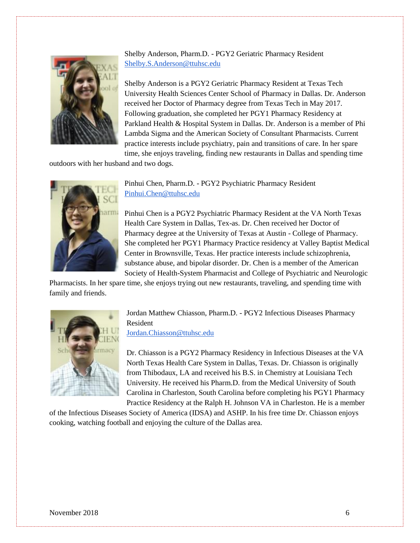

Shelby Anderson, Pharm.D. - PGY2 Geriatric Pharmacy Resident [Shelby.S.Anderson@ttuhsc.edu](mailto:Shelby.S.Anderson@ttuhsc.edu)

Shelby Anderson is a PGY2 Geriatric Pharmacy Resident at Texas Tech University Health Sciences Center School of Pharmacy in Dallas. Dr. Anderson received her Doctor of Pharmacy degree from Texas Tech in May 2017. Following graduation, she completed her PGY1 Pharmacy Residency at Parkland Health & Hospital System in Dallas. Dr. Anderson is a member of Phi Lambda Sigma and the American Society of Consultant Pharmacists. Current practice interests include psychiatry, pain and transitions of care. In her spare time, she enjoys traveling, finding new restaurants in Dallas and spending time

outdoors with her husband and two dogs.



Pinhui Chen, Pharm.D. - PGY2 Psychiatric Pharmacy Resident [Pinhui.Chen@ttuhsc.edu](mailto:Pinhui.Chen@ttuhsc.edu)

Pinhui Chen is a PGY2 Psychiatric Pharmacy Resident at the VA North Texas Health Care System in Dallas, Tex-as. Dr. Chen received her Doctor of Pharmacy degree at the University of Texas at Austin - College of Pharmacy. She completed her PGY1 Pharmacy Practice residency at Valley Baptist Medical Center in Brownsville, Texas. Her practice interests include schizophrenia, substance abuse, and bipolar disorder. Dr. Chen is a member of the American Society of Health-System Pharmacist and College of Psychiatric and Neurologic

Pharmacists. In her spare time, she enjoys trying out new restaurants, traveling, and spending time with family and friends.



Jordan Matthew Chiasson, Pharm.D. - PGY2 Infectious Diseases Pharmacy Resident [Jordan.Chiasson@ttuhsc.edu](mailto:Jordan.Chiasson@ttuhsc.edu)

Dr. Chiasson is a PGY2 Pharmacy Residency in Infectious Diseases at the VA North Texas Health Care System in Dallas, Texas. Dr. Chiasson is originally from Thibodaux, LA and received his B.S. in Chemistry at Louisiana Tech University. He received his Pharm.D. from the Medical University of South Carolina in Charleston, South Carolina before completing his PGY1 Pharmacy Practice Residency at the Ralph H. Johnson VA in Charleston. He is a member

of the Infectious Diseases Society of America (IDSA) and ASHP. In his free time Dr. Chiasson enjoys cooking, watching football and enjoying the culture of the Dallas area.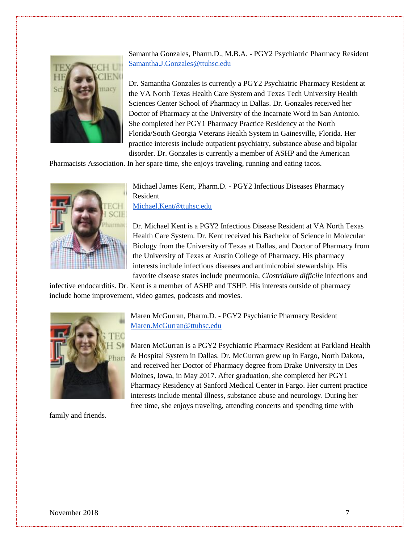

Samantha Gonzales, Pharm.D., M.B.A. - PGY2 Psychiatric Pharmacy Resident [Samantha.J.Gonzales@ttuhsc.edu](mailto:Samantha.J.Gonzales@ttuhsc.edu)

Dr. Samantha Gonzales is currently a PGY2 Psychiatric Pharmacy Resident at the VA North Texas Health Care System and Texas Tech University Health Sciences Center School of Pharmacy in Dallas. Dr. Gonzales received her Doctor of Pharmacy at the University of the Incarnate Word in San Antonio. She completed her PGY1 Pharmacy Practice Residency at the North Florida/South Georgia Veterans Health System in Gainesville, Florida. Her practice interests include outpatient psychiatry, substance abuse and bipolar disorder. Dr. Gonzales is currently a member of ASHP and the American

Pharmacists Association. In her spare time, she enjoys traveling, running and eating tacos.



Michael James Kent, Pharm.D. - PGY2 Infectious Diseases Pharmacy Resident [Michael.Kent@ttuhsc.edu](mailto:Michael.Kent@ttuhsc.edu)

Dr. Michael Kent is a PGY2 Infectious Disease Resident at VA North Texas Health Care System. Dr. Kent received his Bachelor of Science in Molecular Biology from the University of Texas at Dallas, and Doctor of Pharmacy from the University of Texas at Austin College of Pharmacy. His pharmacy interests include infectious diseases and antimicrobial stewardship. His favorite disease states include pneumonia, *Clostridium difficile* infections and

infective endocarditis. Dr. Kent is a member of ASHP and TSHP. His interests outside of pharmacy include home improvement, video games, podcasts and movies.



Maren McGurran, Pharm.D. - PGY2 Psychiatric Pharmacy Resident [Maren.McGurran@ttuhsc.edu](mailto:Maren.McGurran@ttuhsc.edu)

Maren McGurran is a PGY2 Psychiatric Pharmacy Resident at Parkland Health & Hospital System in Dallas. Dr. McGurran grew up in Fargo, North Dakota, and received her Doctor of Pharmacy degree from Drake University in Des Moines, Iowa, in May 2017. After graduation, she completed her PGY1 Pharmacy Residency at Sanford Medical Center in Fargo. Her current practice interests include mental illness, substance abuse and neurology. During her free time, she enjoys traveling, attending concerts and spending time with

family and friends.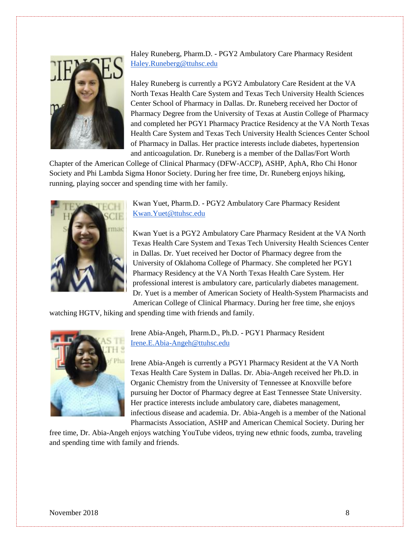

Haley Runeberg, Pharm.D. - PGY2 Ambulatory Care Pharmacy Resident [Haley.Runeberg@ttuhsc.edu](mailto:Haley.Runeberg@ttuhsc.edu)

Haley Runeberg is currently a PGY2 Ambulatory Care Resident at the VA North Texas Health Care System and Texas Tech University Health Sciences Center School of Pharmacy in Dallas. Dr. Runeberg received her Doctor of Pharmacy Degree from the University of Texas at Austin College of Pharmacy and completed her PGY1 Pharmacy Practice Residency at the VA North Texas Health Care System and Texas Tech University Health Sciences Center School of Pharmacy in Dallas. Her practice interests include diabetes, hypertension and anticoagulation. Dr. Runeberg is a member of the Dallas/Fort Worth

Chapter of the American College of Clinical Pharmacy (DFW-ACCP), ASHP, AphA, Rho Chi Honor Society and Phi Lambda Sigma Honor Society. During her free time, Dr. Runeberg enjoys hiking, running, playing soccer and spending time with her family.



Kwan Yuet, Pharm.D. - PGY2 Ambulatory Care Pharmacy Resident [Kwan.Yuet@ttuhsc.edu](mailto:Kwan.Yuet@ttuhsc.edu)

Kwan Yuet is a PGY2 Ambulatory Care Pharmacy Resident at the VA North Texas Health Care System and Texas Tech University Health Sciences Center in Dallas. Dr. Yuet received her Doctor of Pharmacy degree from the University of Oklahoma College of Pharmacy. She completed her PGY1 Pharmacy Residency at the VA North Texas Health Care System. Her professional interest is ambulatory care, particularly diabetes management. Dr. Yuet is a member of American Society of Health-System Pharmacists and American College of Clinical Pharmacy. During her free time, she enjoys

watching HGTV, hiking and spending time with friends and family.



Irene Abia-Angeh, Pharm.D., Ph.D. - PGY1 Pharmacy Resident [Irene.E.Abia-Angeh@ttuhsc.edu](mailto:Irene.E.Abia-Angeh@ttuhsc.edu)

Irene Abia-Angeh is currently a PGY1 Pharmacy Resident at the VA North Texas Health Care System in Dallas. Dr. Abia-Angeh received her Ph.D. in Organic Chemistry from the University of Tennessee at Knoxville before pursuing her Doctor of Pharmacy degree at East Tennessee State University. Her practice interests include ambulatory care, diabetes management, infectious disease and academia. Dr. Abia-Angeh is a member of the National Pharmacists Association, ASHP and American Chemical Society. During her

free time, Dr. Abia-Angeh enjoys watching YouTube videos, trying new ethnic foods, zumba, traveling and spending time with family and friends.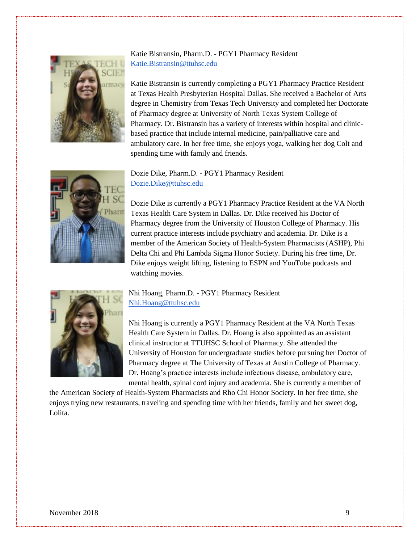

# Katie Bistransin, Pharm.D. - PGY1 Pharmacy Resident [Katie.Bistransin@ttuhsc.edu](mailto:Katie.Bistransin@ttuhsc.edu)

Katie Bistransin is currently completing a PGY1 Pharmacy Practice Resident at Texas Health Presbyterian Hospital Dallas. She received a Bachelor of Arts degree in Chemistry from Texas Tech University and completed her Doctorate of Pharmacy degree at University of North Texas System College of Pharmacy. Dr. Bistransin has a variety of interests within hospital and clinicbased practice that include internal medicine, pain/palliative care and ambulatory care. In her free time, she enjoys yoga, walking her dog Colt and spending time with family and friends.



Dozie Dike, Pharm.D. - PGY1 Pharmacy Resident [Dozie.Dike@ttuhsc.edu](mailto:Dozie.Dike@ttuhsc.edu)

Dozie Dike is currently a PGY1 Pharmacy Practice Resident at the VA North Texas Health Care System in Dallas. Dr. Dike received his Doctor of Pharmacy degree from the University of Houston College of Pharmacy. His current practice interests include psychiatry and academia. Dr. Dike is a member of the American Society of Health-System Pharmacists (ASHP), Phi Delta Chi and Phi Lambda Sigma Honor Society. During his free time, Dr. Dike enjoys weight lifting, listening to ESPN and YouTube podcasts and watching movies.



Nhi Hoang, Pharm.D. - PGY1 Pharmacy Resident [Nhi.Hoang@ttuhsc.edu](mailto:Nhi.Hoang@ttuhsc.edu)

Nhi Hoang is currently a PGY1 Pharmacy Resident at the VA North Texas Health Care System in Dallas. Dr. Hoang is also appointed as an assistant clinical instructor at TTUHSC School of Pharmacy. She attended the University of Houston for undergraduate studies before pursuing her Doctor of Pharmacy degree at The University of Texas at Austin College of Pharmacy. Dr. Hoang's practice interests include infectious disease, ambulatory care, mental health, spinal cord injury and academia. She is currently a member of

the American Society of Health-System Pharmacists and Rho Chi Honor Society. In her free time, she enjoys trying new restaurants, traveling and spending time with her friends, family and her sweet dog, Lolita.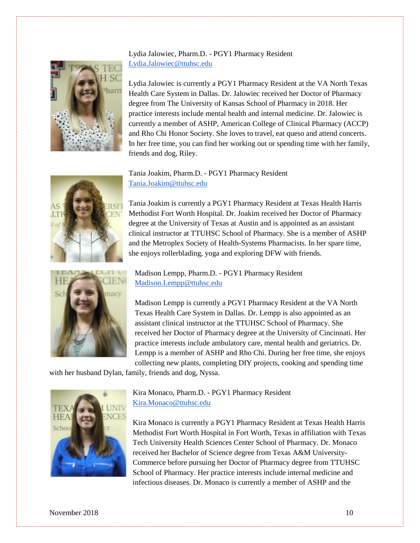# Lydia Jalowiec, Pharm.D. - PGY1 Pharmacy Resident [Lydia.Jalowiec@ttuhsc.edu](mailto:Lydia.Jalowiec@ttuhsc.edu)



Lydia Jalowiec is currently a PGY1 Pharmacy Resident at the VA North Texas Health Care System in Dallas. Dr. Jalowiec received her Doctor of Pharmacy degree from The University of Kansas School of Pharmacy in 2018. Her practice interests include mental health and internal medicine. Dr. Jalowiec is currently a member of ASHP, American College of Clinical Pharmacy (ACCP) and Rho Chi Honor Society. She loves to travel, eat queso and attend concerts. In her free time, you can find her working out or spending time with her family, friends and dog, Riley.



Tania Joakim, Pharm.D. - PGY1 Pharmacy Resident [Tania.Joakim@ttuhsc.edu](mailto:Tania.Joakim@ttuhsc.edu)

Tania Joakim is currently a PGY1 Pharmacy Resident at Texas Health Harris Methodist Fort Worth Hospital. Dr. Joakim received her Doctor of Pharmacy degree at the University of Texas at Austin and is appointed as an assistant clinical instructor at TTUHSC School of Pharmacy. She is a member of ASHP and the Metroplex Society of Health-Systems Pharmacists. In her spare time, she enjoys rollerblading, yoga and exploring DFW with friends.

Madison Lempp, Pharm.D. - PGY1 Pharmacy Resident [Madison.Lempp@ttuhsc.edu](mailto:Madison.Lempp@ttuhsc.edu)

Madison Lempp is currently a PGY1 Pharmacy Resident at the VA North Texas Health Care System in Dallas. Dr. Lempp is also appointed as an assistant clinical instructor at the TTUHSC School of Pharmacy. She received her Doctor of Pharmacy degree at the University of Cincinnati. Her practice interests include ambulatory care, mental health and geriatrics. Dr. Lempp is a member of ASHP and Rho Chi. During her free time, she enjoys collecting new plants, completing DIY projects, cooking and spending time

with her husband Dylan, family, friends and dog, Nyssa.



Kira Monaco, Pharm.D. - PGY1 Pharmacy Resident [Kira.Monaco@ttuhsc.edu](mailto:Kira.Monaco@ttuhsc.edu)

Kira Monaco is currently a PGY1 Pharmacy Resident at Texas Health Harris Methodist Fort Worth Hospital in Fort Worth, Texas in affiliation with Texas Tech University Health Sciences Center School of Pharmacy. Dr. Monaco received her Bachelor of Science degree from Texas A&M University-Commerce before pursuing her Doctor of Pharmacy degree from TTUHSC School of Pharmacy. Her practice interests include internal medicine and infectious diseases. Dr. Monaco is currently a member of ASHP and the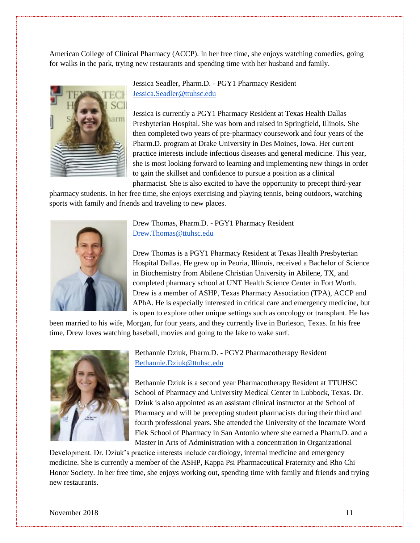American College of Clinical Pharmacy (ACCP). In her free time, she enjoys watching comedies, going for walks in the park, trying new restaurants and spending time with her husband and family.



Jessica Seadler, Pharm.D. - PGY1 Pharmacy Resident [Jessica.Seadler@ttuhsc.edu](mailto:Jessica.Seadler@ttuhsc.edu)

Jessica is currently a PGY1 Pharmacy Resident at Texas Health Dallas Presbyterian Hospital. She was born and raised in Springfield, Illinois. She then completed two years of pre-pharmacy coursework and four years of the Pharm.D. program at Drake University in Des Moines, Iowa. Her current practice interests include infectious diseases and general medicine. This year, she is most looking forward to learning and implementing new things in order to gain the skillset and confidence to pursue a position as a clinical pharmacist. She is also excited to have the opportunity to precept third-year

pharmacy students. In her free time, she enjoys exercising and playing tennis, being outdoors, watching sports with family and friends and traveling to new places.



Drew Thomas, Pharm.D. - PGY1 Pharmacy Resident [Drew.Thomas@ttuhsc.edu](mailto:Drew.Thomas@ttuhsc.edu)

Drew Thomas is a PGY1 Pharmacy Resident at Texas Health Presbyterian Hospital Dallas. He grew up in Peoria, Illinois, received a Bachelor of Science in Biochemistry from Abilene Christian University in Abilene, TX, and completed pharmacy school at UNT Health Science Center in Fort Worth. Drew is a member of ASHP, Texas Pharmacy Association (TPA), ACCP and APhA. He is especially interested in critical care and emergency medicine, but is open to explore other unique settings such as oncology or transplant. He has

been married to his wife, Morgan, for four years, and they currently live in Burleson, Texas. In his free time, Drew loves watching baseball, movies and going to the lake to wake surf.



Bethannie Dziuk, Pharm.D. - PGY2 Pharmacotherapy Resident [Bethannie.Dziuk@ttuhsc.edu](mailto:Bethannie.Dziuk@ttuhsc.edu)

Bethannie Dziuk is a second year Pharmacotherapy Resident at TTUHSC School of Pharmacy and University Medical Center in Lubbock, Texas. Dr. Dziuk is also appointed as an assistant clinical instructor at the School of Pharmacy and will be precepting student pharmacists during their third and fourth professional years. She attended the University of the Incarnate Word Fiek School of Pharmacy in San Antonio where she earned a Pharm.D. and a Master in Arts of Administration with a concentration in Organizational

Development. Dr. Dziuk's practice interests include cardiology, internal medicine and emergency medicine. She is currently a member of the ASHP, Kappa Psi Pharmaceutical Fraternity and Rho Chi Honor Society. In her free time, she enjoys working out, spending time with family and friends and trying new restaurants.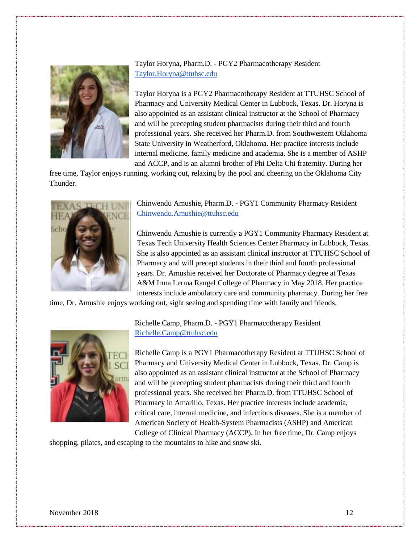

Taylor Horyna, Pharm.D. - PGY2 Pharmacotherapy Resident [Taylor.Horyna@ttuhsc.edu](mailto:Taylor.Horyna@ttuhsc.edu)

Taylor Horyna is a PGY2 Pharmacotherapy Resident at TTUHSC School of Pharmacy and University Medical Center in Lubbock, Texas. Dr. Horyna is also appointed as an assistant clinical instructor at the School of Pharmacy and will be precepting student pharmacists during their third and fourth professional years. She received her Pharm.D. from Southwestern Oklahoma State University in Weatherford, Oklahoma. Her practice interests include internal medicine, family medicine and academia. She is a member of ASHP and ACCP, and is an alumni brother of Phi Delta Chi fraternity. During her

free time, Taylor enjoys running, working out, relaxing by the pool and cheering on the Oklahoma City Thunder.



Chinwendu Amushie, Pharm.D. - PGY1 Community Pharmacy Resident [Chinwendu.Amushie@ttuhsc.edu](mailto:Chinwendu.Amushie@ttuhsc.edu)

Chinwendu Amushie is currently a PGY1 Community Pharmacy Resident at Texas Tech University Health Sciences Center Pharmacy in Lubbock, Texas. She is also appointed as an assistant clinical instructor at TTUHSC School of Pharmacy and will precept students in their third and fourth professional years. Dr. Amushie received her Doctorate of Pharmacy degree at Texas A&M Irma Lerma Rangel College of Pharmacy in May 2018. Her practice interests include ambulatory care and community pharmacy. During her free

time, Dr. Amushie enjoys working out, sight seeing and spending time with family and friends.



Richelle Camp, Pharm.D. - PGY1 Pharmacotherapy Resident [Richelle.Camp@ttuhsc.edu](mailto:Richelle.Camp@ttuhsc.edu)

Richelle Camp is a PGY1 Pharmacotherapy Resident at TTUHSC School of Pharmacy and University Medical Center in Lubbock, Texas. Dr. Camp is also appointed as an assistant clinical instructor at the School of Pharmacy and will be precepting student pharmacists during their third and fourth professional years. She received her Pharm.D. from TTUHSC School of Pharmacy in Amarillo, Texas. Her practice interests include academia, critical care, internal medicine, and infectious diseases. She is a member of American Society of Health-System Pharmacists (ASHP) and American College of Clinical Pharmacy (ACCP). In her free time, Dr. Camp enjoys

shopping, pilates, and escaping to the mountains to hike and snow ski.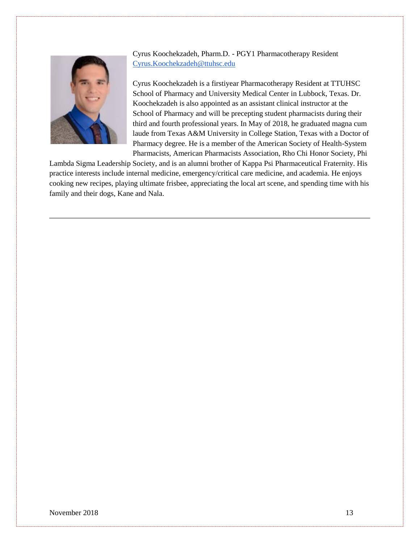

Cyrus Koochekzadeh, Pharm.D. - PGY1 Pharmacotherapy Resident [Cyrus.Koochekzadeh@ttuhsc.edu](mailto:Cyrus.Koochekzadeh@ttuhsc.edu)

Cyrus Koochekzadeh is a firstiyear Pharmacotherapy Resident at TTUHSC School of Pharmacy and University Medical Center in Lubbock, Texas. Dr. Koochekzadeh is also appointed as an assistant clinical instructor at the School of Pharmacy and will be precepting student pharmacists during their third and fourth professional years. In May of 2018, he graduated magna cum laude from Texas A&M University in College Station, Texas with a Doctor of Pharmacy degree. He is a member of the American Society of Health-System Pharmacists, American Pharmacists Association, Rho Chi Honor Society, Phi

Lambda Sigma Leadership Society, and is an alumni brother of Kappa Psi Pharmaceutical Fraternity. His practice interests include internal medicine, emergency/critical care medicine, and academia. He enjoys cooking new recipes, playing ultimate frisbee, appreciating the local art scene, and spending time with his family and their dogs, Kane and Nala.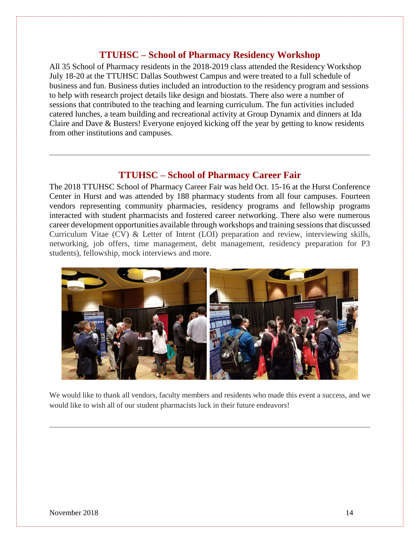# **TTUHSC – School of Pharmacy Residency Workshop**

All 35 School of Pharmacy residents in the 2018-2019 class attended the Residency Workshop July 18-20 at the TTUHSC Dallas Southwest Campus and were treated to a full schedule of business and fun. Business duties included an introduction to the residency program and sessions to help with research project details like design and biostats. There also were a number of sessions that contributed to the teaching and learning curriculum. The fun activities included catered lunches, a team building and recreational activity at Group Dynamix and dinners at Ida Claire and Dave & Busters! Everyone enjoyed kicking off the year by getting to know residents from other institutions and campuses.

# **TTUHSC – School of Pharmacy Career Fair**

The 2018 TTUHSC School of Pharmacy Career Fair was held Oct. 15-16 at the Hurst Conference Center in Hurst and was attended by 188 pharmacy students from all four campuses. Fourteen vendors representing community pharmacies, residency programs and fellowship programs interacted with student pharmacists and fostered career networking. There also were numerous career development opportunities available through workshops and training sessions that discussed Curriculum Vitae (CV) & Letter of Intent (LOI) preparation and review, interviewing skills, networking, job offers, time management, debt management, residency preparation for P3 students), fellowship, mock interviews and more.



We would like to thank all vendors, faculty members and residents who made this event a success, and we would like to wish all of our student pharmacists luck in their future endeavors!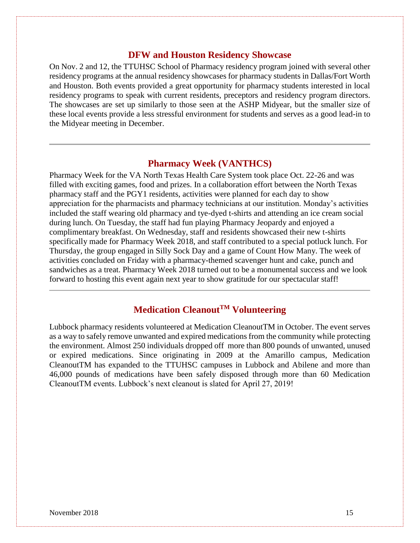# **DFW and Houston Residency Showcase**

On Nov. 2 and 12, the TTUHSC School of Pharmacy residency program joined with several other residency programs at the annual residency showcases for pharmacy students in Dallas/Fort Worth and Houston. Both events provided a great opportunity for pharmacy students interested in local residency programs to speak with current residents, preceptors and residency program directors. The showcases are set up similarly to those seen at the ASHP Midyear, but the smaller size of these local events provide a less stressful environment for students and serves as a good lead-in to the Midyear meeting in December.

# **Pharmacy Week (VANTHCS)**

Pharmacy Week for the VA North Texas Health Care System took place Oct. 22-26 and was filled with exciting games, food and prizes. In a collaboration effort between the North Texas pharmacy staff and the PGY1 residents, activities were planned for each day to show appreciation for the pharmacists and pharmacy technicians at our institution. Monday's activities included the staff wearing old pharmacy and tye-dyed t-shirts and attending an ice cream social during lunch. On Tuesday, the staff had fun playing Pharmacy Jeopardy and enjoyed a complimentary breakfast. On Wednesday, staff and residents showcased their new t-shirts specifically made for Pharmacy Week 2018, and staff contributed to a special potluck lunch. For Thursday, the group engaged in Silly Sock Day and a game of Count How Many. The week of activities concluded on Friday with a pharmacy-themed scavenger hunt and cake, punch and sandwiches as a treat. Pharmacy Week 2018 turned out to be a monumental success and we look forward to hosting this event again next year to show gratitude for our spectacular staff!

# **Medication CleanoutTM Volunteering**

Lubbock pharmacy residents volunteered at Medication CleanoutTM in October. The event serves as a way to safely remove unwanted and expired medications from the community while protecting the environment. Almost 250 individuals dropped off more than 800 pounds of unwanted, unused or expired medications. Since originating in 2009 at the Amarillo campus, Medication CleanoutTM has expanded to the TTUHSC campuses in Lubbock and Abilene and more than 46,000 pounds of medications have been safely disposed through more than 60 Medication CleanoutTM events. Lubbock's next cleanout is slated for April 27, 2019!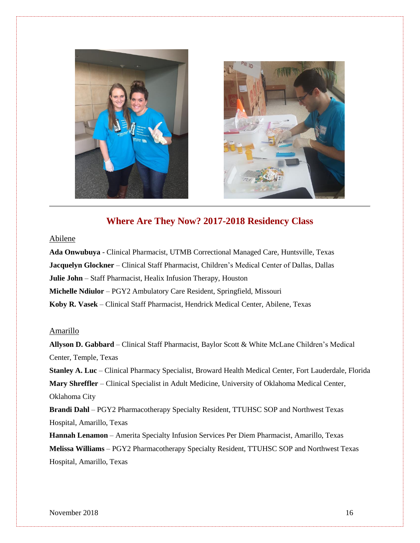



# **Where Are They Now? 2017-2018 Residency Class**

#### Abilene

**Ada Onwubuya** - Clinical Pharmacist, UTMB Correctional Managed Care, Huntsville, Texas **Jacquelyn Glockner** – Clinical Staff Pharmacist, Children's Medical Center of Dallas, Dallas **Julie John** – Staff Pharmacist, Healix Infusion Therapy, Houston **Michelle Ndiulor** – PGY2 Ambulatory Care Resident, Springfield, Missouri **Koby R. Vasek** – Clinical Staff Pharmacist, Hendrick Medical Center, Abilene, Texas

#### Amarillo

**Allyson D. Gabbard** – Clinical Staff Pharmacist, Baylor Scott & White McLane Children's Medical Center, Temple, Texas **Stanley A. Luc** – Clinical Pharmacy Specialist, Broward Health Medical Center, Fort Lauderdale, Florida **Mary Shreffler** – Clinical Specialist in Adult Medicine, University of Oklahoma Medical Center, Oklahoma City **Brandi Dahl** – PGY2 Pharmacotherapy Specialty Resident, TTUHSC SOP and Northwest Texas Hospital, Amarillo, Texas **Hannah Lenamon** – Amerita Specialty Infusion Services Per Diem Pharmacist, Amarillo, Texas

**Melissa Williams** – PGY2 Pharmacotherapy Specialty Resident, TTUHSC SOP and Northwest Texas Hospital, Amarillo, Texas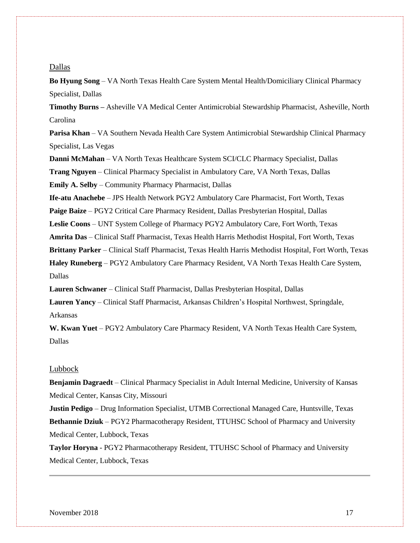#### Dallas

**Bo Hyung Song** – VA North Texas Health Care System Mental Health/Domiciliary Clinical Pharmacy Specialist, Dallas

**Timothy Burns –** Asheville VA Medical Center Antimicrobial Stewardship Pharmacist, Asheville, North Carolina

**Parisa Khan** – VA Southern Nevada Health Care System Antimicrobial Stewardship Clinical Pharmacy Specialist, Las Vegas

**Danni McMahan** – VA North Texas Healthcare System SCI/CLC Pharmacy Specialist, Dallas **Trang Nguyen** – Clinical Pharmacy Specialist in Ambulatory Care, VA North Texas, Dallas

**Emily A. Selby** – Community Pharmacy Pharmacist, Dallas

**Ife-atu Anachebe** – JPS Health Network PGY2 Ambulatory Care Pharmacist, Fort Worth, Texas

**Paige Baize** – PGY2 Critical Care Pharmacy Resident, Dallas Presbyterian Hospital, Dallas

**Leslie Coons** – UNT System College of Pharmacy PGY2 Ambulatory Care, Fort Worth, Texas

**Amrita Das** – Clinical Staff Pharmacist, Texas Health Harris Methodist Hospital, Fort Worth, Texas

**Brittany Parker** – Clinical Staff Pharmacist, Texas Health Harris Methodist Hospital, Fort Worth, Texas

**Haley Runeberg** – PGY2 Ambulatory Care Pharmacy Resident, VA North Texas Health Care System, Dallas

**Lauren Schwaner** – Clinical Staff Pharmacist, Dallas Presbyterian Hospital, Dallas

**Lauren Yancy** – Clinical Staff Pharmacist, Arkansas Children's Hospital Northwest, Springdale, Arkansas

W. Kwan Yuet - PGY2 Ambulatory Care Pharmacy Resident, VA North Texas Health Care System, Dallas

#### Lubbock

**Benjamin Dagraedt** – Clinical Pharmacy Specialist in Adult Internal Medicine, University of Kansas Medical Center, Kansas City, Missouri

**Justin Pedigo** – Drug Information Specialist, UTMB Correctional Managed Care, Huntsville, Texas **Bethannie Dziuk** – PGY2 Pharmacotherapy Resident, TTUHSC School of Pharmacy and University Medical Center, Lubbock, Texas

**Taylor Horyna** - PGY2 Pharmacotherapy Resident, TTUHSC School of Pharmacy and University Medical Center, Lubbock, Texas